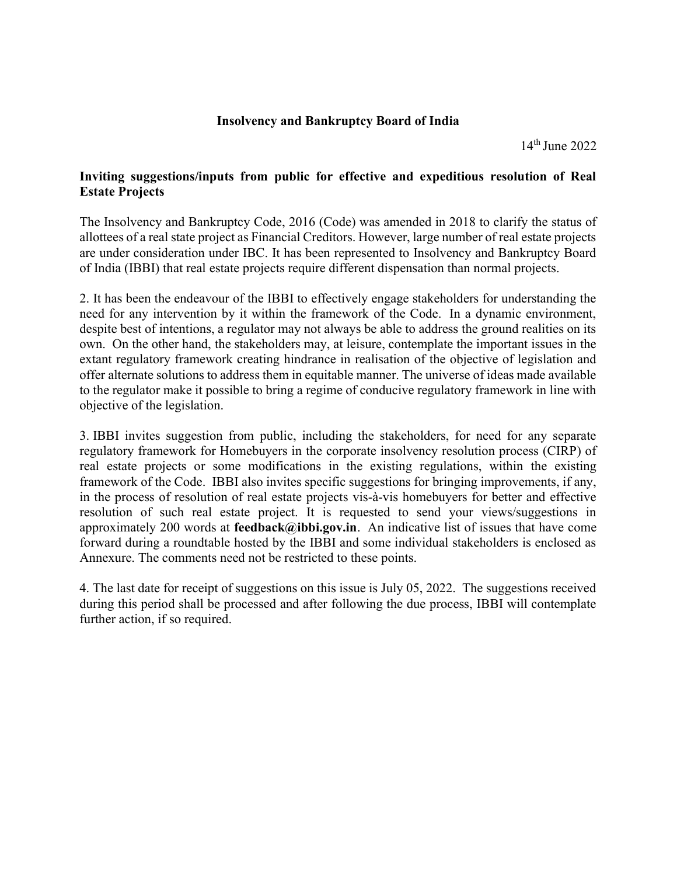## Insolvency and Bankruptcy Board of India

14th June 2022

# Inviting suggestions/inputs from public for effective and expeditious resolution of Real Estate Projects

The Insolvency and Bankruptcy Code, 2016 (Code) was amended in 2018 to clarify the status of allottees of a real state project as Financial Creditors. However, large number of real estate projects are under consideration under IBC. It has been represented to Insolvency and Bankruptcy Board of India (IBBI) that real estate projects require different dispensation than normal projects.

2. It has been the endeavour of the IBBI to effectively engage stakeholders for understanding the need for any intervention by it within the framework of the Code. In a dynamic environment, despite best of intentions, a regulator may not always be able to address the ground realities on its own. On the other hand, the stakeholders may, at leisure, contemplate the important issues in the extant regulatory framework creating hindrance in realisation of the objective of legislation and offer alternate solutions to address them in equitable manner. The universe of ideas made available to the regulator make it possible to bring a regime of conducive regulatory framework in line with objective of the legislation.

3. IBBI invites suggestion from public, including the stakeholders, for need for any separate regulatory framework for Homebuyers in the corporate insolvency resolution process (CIRP) of real estate projects or some modifications in the existing regulations, within the existing framework of the Code. IBBI also invites specific suggestions for bringing improvements, if any, in the process of resolution of real estate projects vis-à-vis homebuyers for better and effective resolution of such real estate project. It is requested to send your views/suggestions in approximately 200 words at feedback@ibbi.gov.in. An indicative list of issues that have come forward during a roundtable hosted by the IBBI and some individual stakeholders is enclosed as Annexure. The comments need not be restricted to these points.

4. The last date for receipt of suggestions on this issue is July 05, 2022. The suggestions received during this period shall be processed and after following the due process, IBBI will contemplate further action, if so required.